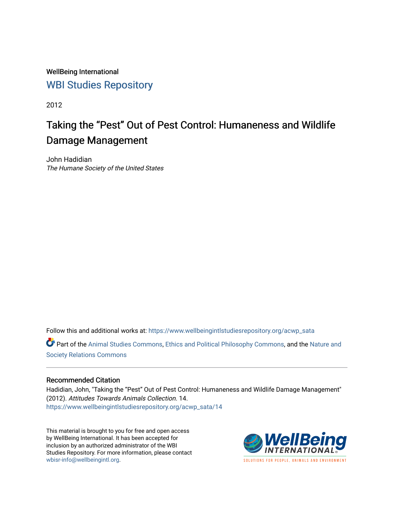WellBeing International [WBI Studies Repository](https://www.wellbeingintlstudiesrepository.org/)

2012

# Taking the "Pest" Out of Pest Control: Humaneness and Wildlife Damage Management

John Hadidian The Humane Society of the United States

Follow this and additional works at: [https://www.wellbeingintlstudiesrepository.org/acwp\\_sata](https://www.wellbeingintlstudiesrepository.org/acwp_sata?utm_source=www.wellbeingintlstudiesrepository.org%2Facwp_sata%2F14&utm_medium=PDF&utm_campaign=PDFCoverPages) Part of the [Animal Studies Commons,](http://network.bepress.com/hgg/discipline/1306?utm_source=www.wellbeingintlstudiesrepository.org%2Facwp_sata%2F14&utm_medium=PDF&utm_campaign=PDFCoverPages) [Ethics and Political Philosophy Commons,](http://network.bepress.com/hgg/discipline/529?utm_source=www.wellbeingintlstudiesrepository.org%2Facwp_sata%2F14&utm_medium=PDF&utm_campaign=PDFCoverPages) and the [Nature and](http://network.bepress.com/hgg/discipline/357?utm_source=www.wellbeingintlstudiesrepository.org%2Facwp_sata%2F14&utm_medium=PDF&utm_campaign=PDFCoverPages)  [Society Relations Commons](http://network.bepress.com/hgg/discipline/357?utm_source=www.wellbeingintlstudiesrepository.org%2Facwp_sata%2F14&utm_medium=PDF&utm_campaign=PDFCoverPages)

#### Recommended Citation

Hadidian, John, "Taking the "Pest" Out of Pest Control: Humaneness and Wildlife Damage Management" (2012). Attitudes Towards Animals Collection. 14. [https://www.wellbeingintlstudiesrepository.org/acwp\\_sata/14](https://www.wellbeingintlstudiesrepository.org/acwp_sata/14?utm_source=www.wellbeingintlstudiesrepository.org%2Facwp_sata%2F14&utm_medium=PDF&utm_campaign=PDFCoverPages) 

This material is brought to you for free and open access by WellBeing International. It has been accepted for inclusion by an authorized administrator of the WBI Studies Repository. For more information, please contact [wbisr-info@wellbeingintl.org](mailto:wbisr-info@wellbeingintl.org).

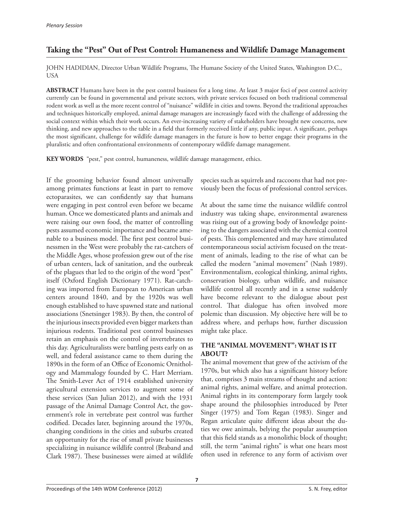# **Taking the "Pest" Out of Pest Control: Humaneness and Wildlife Damage Management**

JOHN HADIDIAN, Director Urban Wildlife Programs, The Humane Society of the United States, Washington D.C., USA

**ABSTRACT** Humans have been in the pest control business for a long time. At least 3 major foci of pest control activity currently can be found in governmental and private sectors, with private services focused on both traditional commensal rodent work as well as the more recent control of "nuisance" wildlife in cities and towns. Beyond the traditional approaches and techniques historically employed, animal damage managers are increasingly faced with the challenge of addressing the social context within which their work occurs. An ever-increasing variety of stakeholders have brought new concerns, new thinking, and new approaches to the table in a field that formerly received little if any, public input. A significant, perhaps the most significant, challenge for wildlife damage managers in the future is how to better engage their programs in the pluralistic and often confrontational environments of contemporary wildlife damage management.

**KEY WORDS** "pest," pest control, humaneness, wildlife damage management, ethics.

If the grooming behavior found almost universally among primates functions at least in part to remove ectoparasites, we can confidently say that humans were engaging in pest control even before we became human. Once we domesticated plants and animals and were raising our own food, the matter of controlling pests assumed economic importance and became amenable to a business model. The first pest control businessmen in the West were probably the rat-catchers of the Middle Ages, whose profession grew out of the rise of urban centers, lack of sanitation, and the outbreak of the plagues that led to the origin of the word "pest" itself (Oxford English Dictionary 1971). Rat-catching was imported from European to American urban centers around 1840, and by the 1920s was well enough established to have spawned state and national associations (Snetsinger 1983). By then, the control of the injurious insects provided even bigger markets than injurious rodents. Traditional pest control businesses retain an emphasis on the control of invertebrates to this day. Agriculturalists were battling pests early on as well, and federal assistance came to them during the 1890s in the form of an Office of Economic Ornithology and Mammalogy founded by C. Hart Merriam. The Smith-Lever Act of 1914 established university agricultural extension services to augment some of these services (San Julian 2012), and with the 1931 passage of the Animal Damage Control Act, the government's role in vertebrate pest control was further codified. Decades later, beginning around the 1970s, changing conditions in the cities and suburbs created an opportunity for the rise of small private businesses specializing in nuisance wildlife control (Braband and Clark 1987). These businesses were aimed at wildlife

species such as squirrels and raccoons that had not previously been the focus of professional control services.

At about the same time the nuisance wildlife control industry was taking shape, environmental awareness was rising out of a growing body of knowledge pointing to the dangers associated with the chemical control of pests. This complemented and may have stimulated contemporaneous social activism focused on the treatment of animals, leading to the rise of what can be called the modern "animal movement" (Nash 1989). Environmentalism, ecological thinking, animal rights, conservation biology, urban wildlife, and nuisance wildlife control all recently and in a sense suddenly have become relevant to the dialogue about pest control. That dialogue has often involved more polemic than discussion. My objective here will be to address where, and perhaps how, further discussion might take place.

## **THE "ANIMAL MOVEMENT": WHAT IS IT ABOUT?**

The animal movement that grew of the activism of the 1970s, but which also has a significant history before that, comprises 3 main streams of thought and action: animal rights, animal welfare, and animal protection. Animal rights in its contemporary form largely took shape around the philosophies introduced by Peter Singer (1975) and Tom Regan (1983). Singer and Regan articulate quite different ideas about the duties we owe animals, belying the popular assumption that this field stands as a monolithic block of thought; still, the term "animal rights" is what one hears most often used in reference to any form of activism over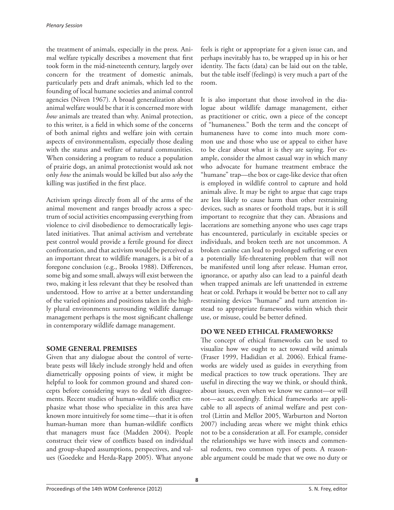the treatment of animals, especially in the press. Animal welfare typically describes a movement that first took form in the mid-nineteenth century, largely over concern for the treatment of domestic animals, particularly pets and draft animals, which led to the founding of local humane societies and animal control agencies (Niven 1967). A broad generalization about animal welfare would be that it is concerned more with *how* animals are treated than why. Animal protection, to this writer, is a field in which some of the concerns of both animal rights and welfare join with certain aspects of environmentalism, especially those dealing with the status and welfare of natural communities. When considering a program to reduce a population of prairie dogs, an animal protectionist would ask not only *how* the animals would be killed but also *why* the killing was justified in the first place.

Activism springs directly from all of the arms of the animal movement and ranges broadly across a spectrum of social activities encompassing everything from violence to civil disobedience to democratically legislated initiatives. That animal activism and vertebrate pest control would provide a fertile ground for direct confrontation, and that activism would be perceived as an important threat to wildlife managers, is a bit of a foregone conclusion (e.g., Brooks 1988). Differences, some big and some small, always will exist between the two, making it less relevant that they be resolved than understood. How to arrive at a better understanding of the varied opinions and positions taken in the highly plural environments surrounding wildlife damage management perhaps is the most significant challenge in contemporary wildlife damage management.

#### **SOME GENERAL PREMISES**

Given that any dialogue about the control of vertebrate pests will likely include strongly held and often diametrically opposing points of view, it might be helpful to look for common ground and shared concepts before considering ways to deal with disagreements. Recent studies of human-wildlife conflict emphasize what those who specialize in this area have known more intuitively for some time—that it is often human-human more than human-wildlife conflicts that managers must face (Madden 2004). People construct their view of conflicts based on individual and group-shaped assumptions, perspectives, and values (Goedeke and Herda-Rapp 2005). What anyone

feels is right or appropriate for a given issue can, and perhaps inevitably has to, be wrapped up in his or her identity. The facts (data) can be laid out on the table, but the table itself (feelings) is very much a part of the room.

It is also important that those involved in the dialogue about wildlife damage management, either as practitioner or critic, own a piece of the concept of "humaneness." Both the term and the concept of humaneness have to come into much more common use and those who use or appeal to either have to be clear about what it is they are saying. For example, consider the almost casual way in which many who advocate for humane treatment embrace the "humane" trap—the box or cage-like device that often is employed in wildlife control to capture and hold animals alive. It may be right to argue that cage traps are less likely to cause harm than other restraining devices, such as snares or foothold traps, but it is still important to recognize that they can. Abrasions and lacerations are something anyone who uses cage traps has encountered, particularly in excitable species or individuals, and broken teeth are not uncommon. A broken canine can lead to prolonged suffering or even a potentially life-threatening problem that will not be manifested until long after release. Human error, ignorance, or apathy also can lead to a painful death when trapped animals are left unattended in extreme heat or cold. Perhaps it would be better not to call any restraining devices "humane" and turn attention instead to appropriate frameworks within which their use, or misuse, could be better defined.

## **DO WE NEED ETHICAL FRAMEWORKS?**

The concept of ethical frameworks can be used to visualize how we ought to act toward wild animals (Fraser 1999, Hadidian et al. 2006). Ethical frameworks are widely used as guides in everything from medical practices to tow truck operations. They are useful in directing the way we think, or should think, about issues, even when we know we cannot—or will not—act accordingly. Ethical frameworks are applicable to all aspects of animal welfare and pest control (Littin and Mellor 2005, Warburton and Norton 2007) including areas where we might think ethics not to be a consideration at all. For example, consider the relationships we have with insects and commensal rodents, two common types of pests. A reasonable argument could be made that we owe no duty or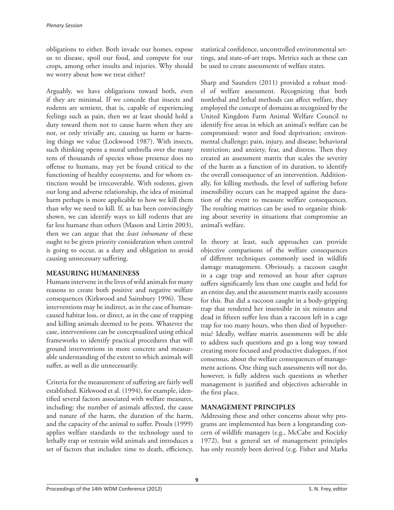obligations to either. Both invade our homes, expose us to disease, spoil our food, and compete for our crops, among other insults and injuries. Why should we worry about how we treat either?

Arguably, we have obligations toward both, even if they are minimal. If we concede that insects and rodents are sentient, that is, capable of experiencing feelings such as pain, then we at least should hold a duty toward them not to cause harm when they are not, or only trivially are, causing us harm or harming things we value (Lockwood 1987). With insects, such thinking opens a moral umbrella over the many tens of thousands of species whose presence does no offense to humans, may yet be found critical to the functioning of healthy ecosystems, and for whom extinction would be irrecoverable. With rodents, given our long and adverse relationship, the idea of minimal harm perhaps is more applicable to how we kill them than why we need to kill. If, as has been convincingly shown, we can identify ways to kill rodents that are far less humane than others (Mason and Littin 2003), then we can argue that the *least inhumane* of these ought to be given priority consideration when control is going to occur, as a duty and obligation to avoid causing unnecessary suffering.

#### **MEASURING HUMANENESS**

Humans intervene in the lives of wild animals for many reasons to create both positive and negative welfare consequences (Kirkwood and Sainsbury 1996). These interventions may be indirect, as in the case of humancaused habitat loss, or direct, as in the case of trapping and killing animals deemed to be pests. Whatever the case, interventions can be conceptualized using ethical frameworks to identify practical procedures that will ground interventions in more concrete and measurable understanding of the extent to which animals will suffer, as well as die unnecessarily.

Criteria for the measurement of suffering are fairly well established. Kirkwood et al. (1994), for example, identified several factors associated with welfare measures, including: the number of animals affected, the cause and nature of the harm, the duration of the harm, and the capacity of the animal to suffer. Proulx (1999) applies welfare standards to the technology used to lethally trap or restrain wild animals and introduces a set of factors that includes: time to death, efficiency,

statistical confidence, uncontrolled environmental settings, and state-of-art traps. Metrics such as these can be used to create assessments of welfare states.

Sharp and Saunders (2011) provided a robust model of welfare assessment. Recognizing that both nonlethal and lethal methods can affect welfare, they employed the concept of domains as recognized by the United Kingdom Farm Animal Welfare Council to identify five areas in which an animal's welfare can be compromised: water and food deprivation; environmental challenge; pain, injury, and disease; behavioral restriction; and anxiety, fear, and distress. Then they created an assessment matrix that scales the severity of the harm as a function of its duration, to identify the overall consequence of an intervention. Additionally, for killing methods, the level of suffering before insensibility occurs can be mapped against the duration of the event to measure welfare consequences. The resulting matrices can be used to organize thinking about severity in situations that compromise an animal's welfare.

In theory at least, such approaches can provide objective comparisons of the welfare consequences of different techniques commonly used in wildlife damage management. Obviously, a raccoon caught in a cage trap and removed an hour after capture suffers significantly less than one caught and held for an entire day, and the assessment matrix easily accounts for this. But did a raccoon caught in a body-gripping trap that rendered her insensible in six minutes and dead in fifteen suffer less than a raccoon left in a cage trap for too many hours, who then died of hypothermia? Ideally, welfare matrix assessments will be able to address such questions and go a long way toward creating more focused and productive dialogues, if not consensus, about the welfare consequences of management actions. One thing such assessments will not do, however, is fully address such questions as whether management is justified and objectives achievable in the first place.

## **MANAGEMENT PRINCIPLES**

Addressing these and other concerns about why programs are implemented has been a longstanding concern of wildlife managers (e.g., McCabe and Kocizky 1972), but a general set of management principles has only recently been derived (e.g. Fisher and Marks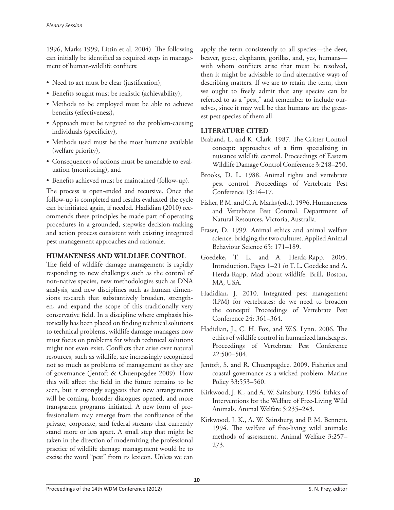1996, Marks 1999, Littin et al. 2004). The following can initially be identified as required steps in management of human-wildlife conflicts:

- Need to act must be clear (justification),
- Benefits sought must be realistic (achievability),
- Methods to be employed must be able to achieve benefits (effectiveness),
- Approach must be targeted to the problem-causing individuals (specificity),
- Methods used must be the most humane available (welfare priority),
- Consequences of actions must be amenable to evaluation (monitoring), and
- • Benefits achieved must be maintained (follow-up).

The process is open-ended and recursive. Once the follow-up is completed and results evaluated the cycle can be initiated again, if needed. Hadidian (2010) recommends these principles be made part of operating procedures in a grounded, stepwise decision-making and action process consistent with existing integrated pest management approaches and rationale.

## **HUMANENESS AND WILDLIFE CONTROL**

The field of wildlife damage management is rapidly responding to new challenges such as the control of non-native species, new methodologies such as DNA analysis, and new disciplines such as human dimensions research that substantively broaden, strengthen, and expand the scope of this traditionally very conservative field. In a discipline where emphasis historically has been placed on finding technical solutions to technical problems, wildlife damage managers now must focus on problems for which technical solutions might not even exist. Conflicts that arise over natural resources, such as wildlife, are increasingly recognized not so much as problems of management as they are of governance (Jentoft & Chuenpagdee 2009). How this will affect the field in the future remains to be seen, but it strongly suggests that new arrangements will be coming, broader dialogues opened, and more transparent programs initiated. A new form of professionalism may emerge from the confluence of the private, corporate, and federal streams that currently stand more or less apart. A small step that might be taken in the direction of modernizing the professional practice of wildlife damage management would be to excise the word "pest" from its lexicon. Unless we can

apply the term consistently to all species—the deer, beaver, geese, elephants, gorillas, and, yes, humans with whom conflicts arise that must be resolved, then it might be advisable to find alternative ways of describing matters. If we are to retain the term, then we ought to freely admit that any species can be referred to as a "pest," and remember to include ourselves, since it may well be that humans are the greatest pest species of them all.

# **LITERATURE CITED**

- Braband, L. and K. Clark. 1987. The Critter Control concept: approaches of a firm specializing in nuisance wildlife control. Proceedings of Eastern Wildlife Damage Control Conference 3:248–250.
- Brooks, D. L. 1988. Animal rights and vertebrate pest control. Proceedings of Vertebrate Pest Conference 13:14–17.
- Fisher, P. M. and C. A. Marks (eds.). 1996. Humaneness and Vertebrate Pest Control. Department of Natural Resources, Victoria, Australia.
- Fraser, D. 1999. Animal ethics and animal welfare science: bridging the two cultures. Applied Animal Behaviour Science 65: 171–189.
- Goedeke, T. L. and A. Herda-Rapp. 2005. Introduction. Pages 1–21 *in* T. L. Goedeke and A. Herda-Rapp, Mad about wildlife. Brill, Boston, MA, USA.
- Hadidian, J. 2010. Integrated pest management (IPM) for vertebrates: do we need to broaden the concept? Proceedings of Vertebrate Pest Conference 24: 361–364.
- Hadidian, J., C. H. Fox, and W.S. Lynn. 2006. The ethics of wildlife control in humanized landscapes. Proceedings of Vertebrate Pest Conference 22:500–504.
- Jentoft, S. and R. Chuenpagdee. 2009. Fisheries and coastal governance as a wicked problem. Marine Policy 33:553–560.
- Kirkwood, J. K., and A. W. Sainsbury. 1996. Ethics of Interventions for the Welfare of Free-Living Wild Animals. Animal Welfare 5:235–243.
- Kirkwood, J. K., A. W. Sainsbury, and P. M. Bennett. 1994. The welfare of free-living wild animals: methods of assessment. Animal Welfare 3:257– 273.